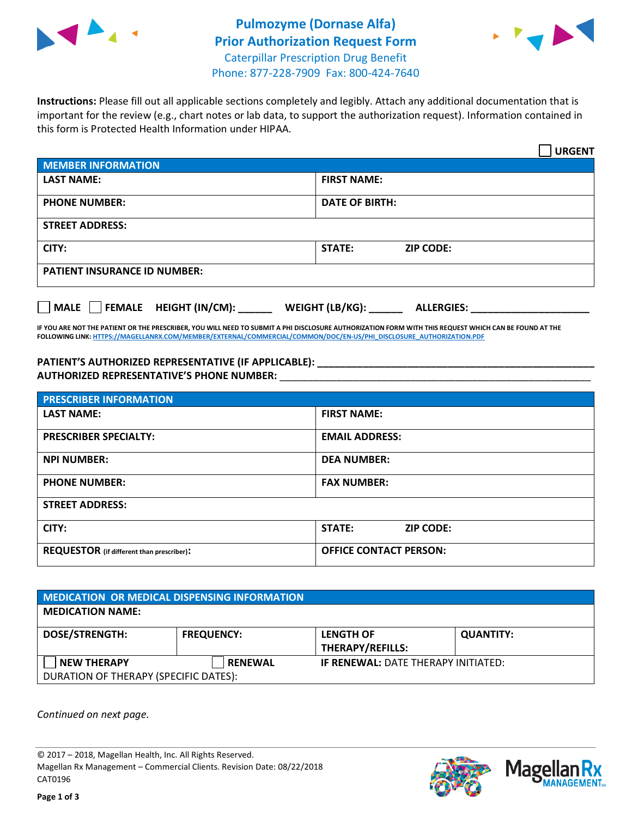



**Instructions:** Please fill out all applicable sections completely and legibly. Attach any additional documentation that is important for the review (e.g., chart notes or lab data, to support the authorization request). Information contained in this form is Protected Health Information under HIPAA.

|                                       | <b>URGENT</b>                        |  |  |  |
|---------------------------------------|--------------------------------------|--|--|--|
| <b>MEMBER INFORMATION</b>             |                                      |  |  |  |
| <b>LAST NAME:</b>                     | <b>FIRST NAME:</b>                   |  |  |  |
| <b>PHONE NUMBER:</b>                  | <b>DATE OF BIRTH:</b>                |  |  |  |
| <b>STREET ADDRESS:</b>                |                                      |  |  |  |
| CITY:                                 | <b>STATE:</b><br><b>ZIP CODE:</b>    |  |  |  |
| <b>PATIENT INSURANCE ID NUMBER:</b>   |                                      |  |  |  |
| FEMALE HEIGHT (IN/CM):<br><b>MALE</b> | WEIGHT (LB/KG):<br><b>ALLERGIES:</b> |  |  |  |

**IF YOU ARE NOT THE PATIENT OR THE PRESCRIBER, YOU WILL NEED TO SUBMIT A PHI DISCLOSURE AUTHORIZATION FORM WITH THIS REQUEST WHICH CAN BE FOUND AT THE FOLLOWING LINK[: HTTPS://MAGELLANRX.COM/MEMBER/EXTERNAL/COMMERCIAL/COMMON/DOC/EN-US/PHI\\_DISCLOSURE\\_AUTHORIZATION.PDF](https://magellanrx.com/member/external/commercial/common/doc/en-us/PHI_Disclosure_Authorization.pdf)**

**PATIENT'S AUTHORIZED REPRESENTATIVE (IF APPLICABLE): \_\_\_\_\_\_\_\_\_\_\_\_\_\_\_\_\_\_\_\_\_\_\_\_\_\_\_\_\_\_\_\_\_\_\_\_\_\_\_\_\_\_\_\_\_\_\_\_\_ AUTHORIZED REPRESENTATIVE'S PHONE NUMBER:** \_\_\_\_\_\_\_\_\_\_\_\_\_\_\_\_\_\_\_\_\_\_\_\_\_\_\_\_\_\_\_\_\_\_\_\_\_\_\_\_\_\_\_\_\_\_\_\_\_\_\_\_\_\_\_

| <b>PRESCRIBER INFORMATION</b>             |                               |  |  |  |
|-------------------------------------------|-------------------------------|--|--|--|
| <b>LAST NAME:</b>                         | <b>FIRST NAME:</b>            |  |  |  |
| <b>PRESCRIBER SPECIALTY:</b>              | <b>EMAIL ADDRESS:</b>         |  |  |  |
| <b>NPI NUMBER:</b>                        | <b>DEA NUMBER:</b>            |  |  |  |
| <b>PHONE NUMBER:</b>                      | <b>FAX NUMBER:</b>            |  |  |  |
| <b>STREET ADDRESS:</b>                    |                               |  |  |  |
| CITY:                                     | STATE:<br><b>ZIP CODE:</b>    |  |  |  |
| REQUESTOR (if different than prescriber): | <b>OFFICE CONTACT PERSON:</b> |  |  |  |

| <b>MEDICATION OR MEDICAL DISPENSING INFORMATION</b> |                   |                                            |                  |  |
|-----------------------------------------------------|-------------------|--------------------------------------------|------------------|--|
| <b>MEDICATION NAME:</b>                             |                   |                                            |                  |  |
| <b>DOSE/STRENGTH:</b>                               | <b>FREQUENCY:</b> | <b>LENGTH OF</b>                           | <b>QUANTITY:</b> |  |
|                                                     |                   | <b>THERAPY/REFILLS:</b>                    |                  |  |
| <b>NEW THERAPY</b>                                  | <b>RENEWAL</b>    | <b>IF RENEWAL: DATE THERAPY INITIATED:</b> |                  |  |
| DURATION OF THERAPY (SPECIFIC DATES):               |                   |                                            |                  |  |

*Continued on next page.*

© 2017 – 2018, Magellan Health, Inc. All Rights Reserved. Magellan Rx Management – Commercial Clients. Revision Date: 08/22/2018 CAT0196



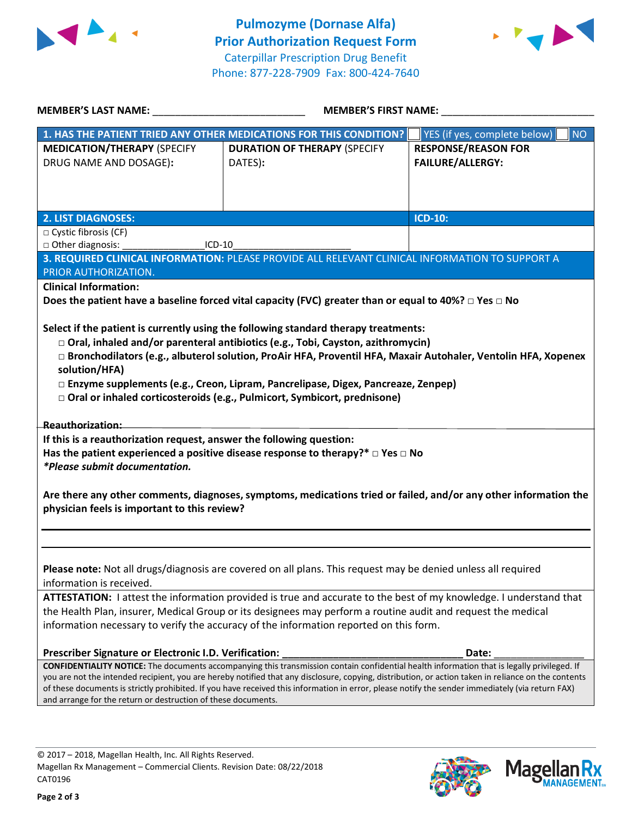



| <b>MEMBER'S LAST NAME:</b>                                                                                                                                                                                                         | MEMBER'S FIRST NAME:                                                                                                                                                                                                                                                                                                                                                                                                                                                 |                                                       |  |  |
|------------------------------------------------------------------------------------------------------------------------------------------------------------------------------------------------------------------------------------|----------------------------------------------------------------------------------------------------------------------------------------------------------------------------------------------------------------------------------------------------------------------------------------------------------------------------------------------------------------------------------------------------------------------------------------------------------------------|-------------------------------------------------------|--|--|
|                                                                                                                                                                                                                                    | 1. HAS THE PATIENT TRIED ANY OTHER MEDICATIONS FOR THIS CONDITION?                                                                                                                                                                                                                                                                                                                                                                                                   | <b>NO</b><br>YES (if yes, complete below)             |  |  |
| <b>MEDICATION/THERAPY (SPECIFY</b><br>DRUG NAME AND DOSAGE):                                                                                                                                                                       | <b>DURATION OF THERAPY (SPECIFY</b><br>DATES):                                                                                                                                                                                                                                                                                                                                                                                                                       | <b>RESPONSE/REASON FOR</b><br><b>FAILURE/ALLERGY:</b> |  |  |
|                                                                                                                                                                                                                                    |                                                                                                                                                                                                                                                                                                                                                                                                                                                                      |                                                       |  |  |
| <b>2. LIST DIAGNOSES:</b>                                                                                                                                                                                                          |                                                                                                                                                                                                                                                                                                                                                                                                                                                                      | ICD-10:                                               |  |  |
| $\Box$ Cystic fibrosis (CF)<br>□ Other diagnosis:<br>$ICD-10$                                                                                                                                                                      |                                                                                                                                                                                                                                                                                                                                                                                                                                                                      |                                                       |  |  |
|                                                                                                                                                                                                                                    | 3. REQUIRED CLINICAL INFORMATION: PLEASE PROVIDE ALL RELEVANT CLINICAL INFORMATION TO SUPPORT A                                                                                                                                                                                                                                                                                                                                                                      |                                                       |  |  |
| PRIOR AUTHORIZATION.                                                                                                                                                                                                               |                                                                                                                                                                                                                                                                                                                                                                                                                                                                      |                                                       |  |  |
| <b>Clinical Information:</b>                                                                                                                                                                                                       |                                                                                                                                                                                                                                                                                                                                                                                                                                                                      |                                                       |  |  |
|                                                                                                                                                                                                                                    | Does the patient have a baseline forced vital capacity (FVC) greater than or equal to 40%? $\Box$ Yes $\Box$ No                                                                                                                                                                                                                                                                                                                                                      |                                                       |  |  |
| solution/HFA)                                                                                                                                                                                                                      | Select if the patient is currently using the following standard therapy treatments:<br>$\Box$ Oral, inhaled and/or parenteral antibiotics (e.g., Tobi, Cayston, azithromycin)<br>□ Bronchodilators (e.g., albuterol solution, ProAir HFA, Proventil HFA, Maxair Autohaler, Ventolin HFA, Xopenex<br>□ Enzyme supplements (e.g., Creon, Lipram, Pancrelipase, Digex, Pancreaze, Zenpep)<br>□ Oral or inhaled corticosteroids (e.g., Pulmicort, Symbicort, prednisone) |                                                       |  |  |
| <b>Reauthorization:</b>                                                                                                                                                                                                            |                                                                                                                                                                                                                                                                                                                                                                                                                                                                      |                                                       |  |  |
| If this is a reauthorization request, answer the following question:<br>Has the patient experienced a positive disease response to therapy?* $\Box$ Yes $\Box$ No<br>*Please submit documentation.                                 |                                                                                                                                                                                                                                                                                                                                                                                                                                                                      |                                                       |  |  |
| Are there any other comments, diagnoses, symptoms, medications tried or failed, and/or any other information the<br>physician feels is important to this review?                                                                   |                                                                                                                                                                                                                                                                                                                                                                                                                                                                      |                                                       |  |  |
| information is received.                                                                                                                                                                                                           | Please note: Not all drugs/diagnosis are covered on all plans. This request may be denied unless all required                                                                                                                                                                                                                                                                                                                                                        |                                                       |  |  |
|                                                                                                                                                                                                                                    |                                                                                                                                                                                                                                                                                                                                                                                                                                                                      |                                                       |  |  |
| ATTESTATION: I attest the information provided is true and accurate to the best of my knowledge. I understand that<br>the Health Plan, insurer, Medical Group or its designees may perform a routine audit and request the medical |                                                                                                                                                                                                                                                                                                                                                                                                                                                                      |                                                       |  |  |
|                                                                                                                                                                                                                                    | information necessary to verify the accuracy of the information reported on this form.                                                                                                                                                                                                                                                                                                                                                                               |                                                       |  |  |
| Prescriber Signature or Electronic I.D. Verification:                                                                                                                                                                              |                                                                                                                                                                                                                                                                                                                                                                                                                                                                      | Date:                                                 |  |  |
| and arrange for the return or destruction of these documents.                                                                                                                                                                      | <b>CONFIDENTIALITY NOTICE:</b> The documents accompanying this transmission contain confidential health information that is legally privileged. If<br>you are not the intended recipient, you are hereby notified that any disclosure, copying, distribution, or action taken in reliance on the contents<br>of these documents is strictly prohibited. If you have received this information in error, please notify the sender immediately (via return FAX)        |                                                       |  |  |
|                                                                                                                                                                                                                                    |                                                                                                                                                                                                                                                                                                                                                                                                                                                                      |                                                       |  |  |

**Page 2 of 3**